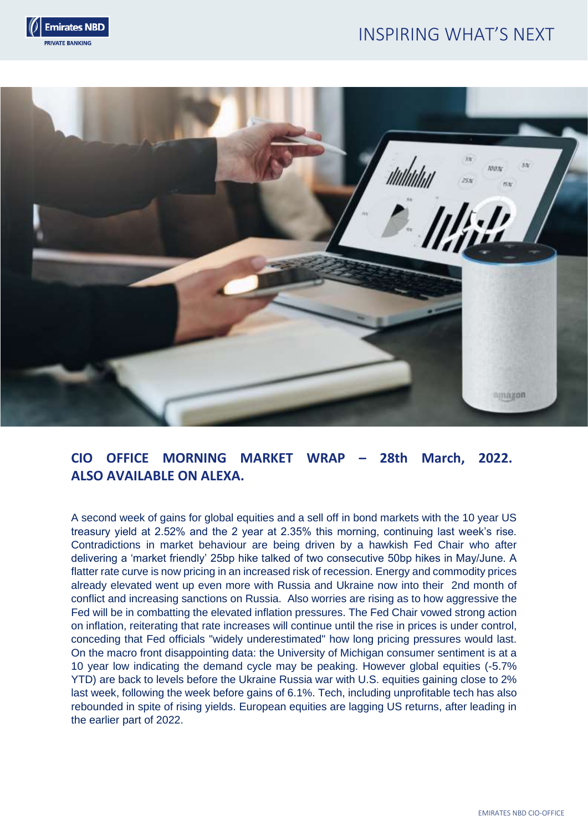# INSPIRING WHAT'S NEXT





## **CIO OFFICE MORNING MARKET WRAP – 28th March, 2022. ALSO AVAILABLE ON ALEXA.**

A second week of gains for global equities and a sell off in bond markets with the 10 year US treasury yield at 2.52% and the 2 year at 2.35% this morning, continuing last week's rise. Contradictions in market behaviour are being driven by a hawkish Fed Chair who after delivering a 'market friendly' 25bp hike talked of two consecutive 50bp hikes in May/June. A flatter rate curve is now pricing in an increased risk of recession. Energy and commodity prices already elevated went up even more with Russia and Ukraine now into their 2nd month of conflict and increasing sanctions on Russia. Also worries are rising as to how aggressive the Fed will be in combatting the elevated inflation pressures. The Fed Chair vowed strong action on inflation, reiterating that rate increases will continue until the rise in prices is under control, conceding that Fed officials "widely underestimated" how long pricing pressures would last. On the macro front disappointing data: the University of Michigan consumer sentiment is at a 10 year low indicating the demand cycle may be peaking. However global equities (-5.7% YTD) are back to levels before the Ukraine Russia war with U.S. equities gaining close to 2% last week, following the week before gains of 6.1%. Tech, including unprofitable tech has also rebounded in spite of rising yields. European equities are lagging US returns, after leading in the earlier part of 2022.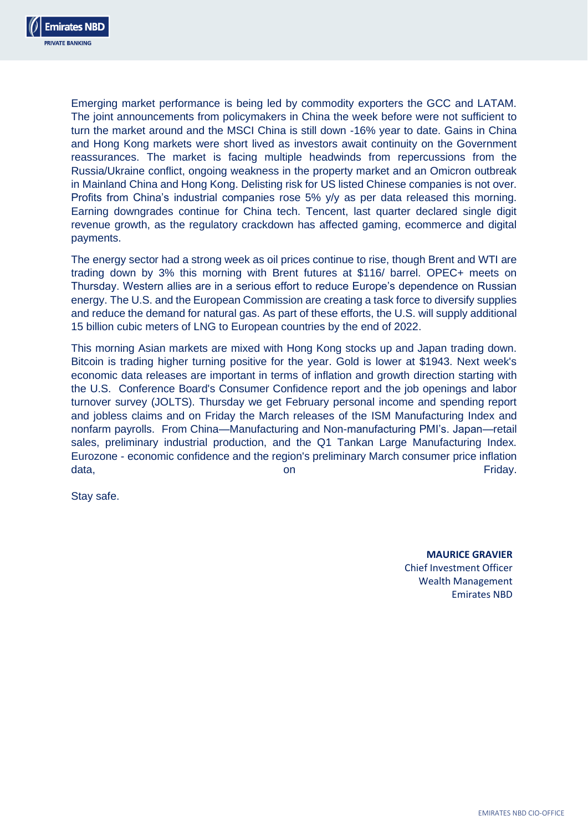

Emerging market performance is being led by commodity exporters the GCC and LATAM. The joint announcements from policymakers in China the week before were not sufficient to turn the market around and the MSCI China is still down -16% year to date. Gains in China and Hong Kong markets were short lived as investors await continuity on the Government reassurances. The market is facing multiple headwinds from repercussions from the Russia/Ukraine conflict, ongoing weakness in the property market and an Omicron outbreak in Mainland China and Hong Kong. Delisting risk for US listed Chinese companies is not over. Profits from China's industrial companies rose 5% y/y as per data released this morning. Earning downgrades continue for China tech. Tencent, last quarter declared single digit revenue growth, as the regulatory crackdown has affected gaming, ecommerce and digital payments.

The energy sector had a strong week as oil prices continue to rise, though Brent and WTI are trading down by 3% this morning with Brent futures at \$116/ barrel. OPEC+ meets on Thursday. Western allies are in a serious effort to reduce Europe's dependence on Russian energy. The U.S. and the European Commission are creating a task force to diversify supplies and reduce the demand for natural gas. As part of these efforts, the U.S. will supply additional 15 billion cubic meters of LNG to European countries by the end of 2022.

This morning Asian markets are mixed with Hong Kong stocks up and Japan trading down. Bitcoin is trading higher turning positive for the year. Gold is lower at \$1943. Next week's economic data releases are important in terms of inflation and growth direction starting with the U.S. Conference Board's Consumer Confidence report and the job openings and labor turnover survey (JOLTS). Thursday we get February personal income and spending report and jobless claims and on Friday the March releases of the ISM Manufacturing Index and nonfarm payrolls. From China—Manufacturing and Non-manufacturing PMI's. Japan—retail sales, preliminary industrial production, and the Q1 Tankan Large Manufacturing Index. Eurozone - economic confidence and the region's preliminary March consumer price inflation data, on Friday.

Stay safe.

**MAURICE GRAVIER** Chief Investment Officer Wealth Management Emirates NBD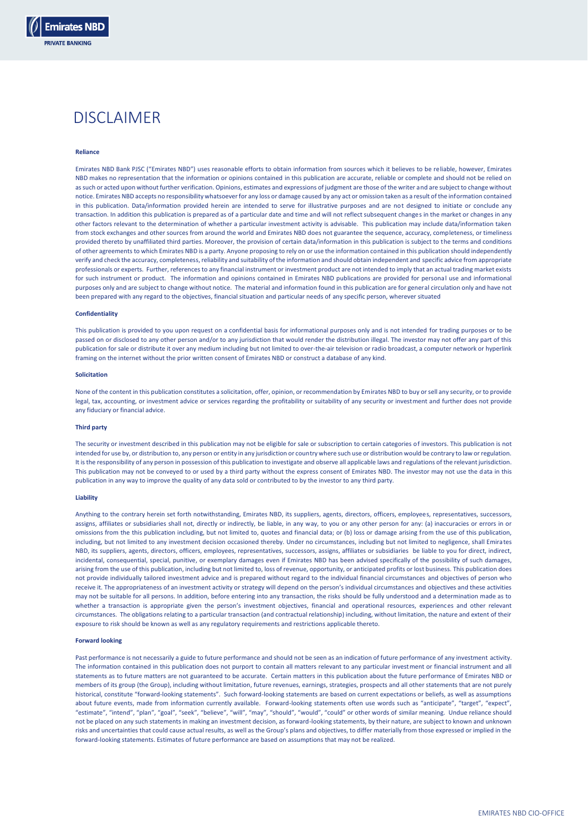

#### **Reliance**

**Emirates NBD RIVATE RANKING** 

> Emirates NBD Bank PJSC ("Emirates NBD") uses reasonable efforts to obtain information from sources which it believes to be reliable, however, Emirates NBD makes no representation that the information or opinions contained in this publication are accurate, reliable or complete and should not be relied on as such or acted upon without further verification. Opinions, estimates and expressions of judgment are those of the writer and are subject to change without notice. Emirates NBD accepts no responsibility whatsoever for any loss or damage caused by any act or omission taken as a result of the information contained in this publication. Data/information provided herein are intended to serve for illustrative purposes and are not designed to initiate or conclude any transaction. In addition this publication is prepared as of a particular date and time and will not reflect subsequent changes in the market or changes in any other factors relevant to the determination of whether a particular investment activity is advisable. This publication may include data/information taken from stock exchanges and other sources from around the world and Emirates NBD does not guarantee the sequence, accuracy, completeness, or timeliness provided thereto by unaffiliated third parties. Moreover, the provision of certain data/information in this publication is subject to the terms and conditions of other agreements to which Emirates NBD is a party. Anyone proposing to rely on or use the information contained in this publication should independently verify and check the accuracy, completeness, reliability and suitability of the information and should obtain independent and specific advice from appropriate professionals or experts. Further, references to any financial instrument or investment product are not intended to imply that an actual trading market exists for such instrument or product. The information and opinions contained in Emirates NBD publications are provided for personal use and informational purposes only and are subject to change without notice. The material and information found in this publication are for general circulation only and have not been prepared with any regard to the objectives, financial situation and particular needs of any specific person, wherever situated

## **Confidentiality**

This publication is provided to you upon request on a confidential basis for informational purposes only and is not intended for trading purposes or to be passed on or disclosed to any other person and/or to any jurisdiction that would render the distribution illegal. The investor may not offer any part of this publication for sale or distribute it over any medium including but not limited to over-the-air television or radio broadcast, a computer network or hyperlink framing on the internet without the prior written consent of Emirates NBD or construct a database of any kind.

#### **Solicitation**

None of the content in this publication constitutes a solicitation, offer, opinion, or recommendation by Emirates NBD to buy or sell any security, or to provide legal, tax, accounting, or investment advice or services regarding the profitability or suitability of any security or investment and further does not provide any fiduciary or financial advice.

## **Third party**

The security or investment described in this publication may not be eligible for sale or subscription to certain categories of investors. This publication is not intended for use by, or distribution to, any person or entity in any jurisdiction or country where such use or distribution would be contrary to law or regulation. It is the responsibility of any person in possession of this publication to investigate and observe all applicable laws and regulations of the relevant jurisdiction. This publication may not be conveyed to or used by a third party without the express consent of Emirates NBD. The investor may not use the data in this publication in any way to improve the quality of any data sold or contributed to by the investor to any third party.

#### **Liability**

Anything to the contrary herein set forth notwithstanding, Emirates NBD, its suppliers, agents, directors, officers, employees, representatives, successors, assigns, affiliates or subsidiaries shall not, directly or indirectly, be liable, in any way, to you or any other person for any: (a) inaccuracies or errors in or omissions from the this publication including, but not limited to, quotes and financial data; or (b) loss or damage arising from the use of this publication, including, but not limited to any investment decision occasioned thereby. Under no circumstances, including but not limited to negligence, shall Emirates NBD, its suppliers, agents, directors, officers, employees, representatives, successors, assigns, affiliates or subsidiaries be liable to you for direct, indirect, incidental, consequential, special, punitive, or exemplary damages even if Emirates NBD has been advised specifically of the possibility of such damages, arising from the use of this publication, including but not limited to, loss of revenue, opportunity, or anticipated profits or lost business. This publication does not provide individually tailored investment advice and is prepared without regard to the individual financial circumstances and objectives of person who receive it. The appropriateness of an investment activity or strategy will depend on the person's individual circumstances and objectives and these activities may not be suitable for all persons. In addition, before entering into any transaction, the risks should be fully understood and a determination made as to whether a transaction is appropriate given the person's investment objectives, financial and operational resources, experiences and other relevant circumstances. The obligations relating to a particular transaction (and contractual relationship) including, without limitation, the nature and extent of their exposure to risk should be known as well as any regulatory requirements and restrictions applicable thereto.

#### **Forward looking**

Past performance is not necessarily a guide to future performance and should not be seen as an indication of future performance of any investment activity. The information contained in this publication does not purport to contain all matters relevant to any particular investment or financial instrument and all statements as to future matters are not guaranteed to be accurate. Certain matters in this publication about the future performance of Emirates NBD or members of its group (the Group), including without limitation, future revenues, earnings, strategies, prospects and all other statements that are not purely historical, constitute "forward-looking statements". Such forward-looking statements are based on current expectations or beliefs, as well as assumptions about future events, made from information currently available. Forward-looking statements often use words such as "anticipate", "target", "expect" "estimate", "intend", "plan", "goal", "seek", "believe", "will", "may", "should", "would", "could" or other words of similar meaning. Undue reliance should not be placed on any such statements in making an investment decision, as forward-looking statements, by their nature, are subject to known and unknown risks and uncertainties that could cause actual results, as well as the Group's plans and objectives, to differ materially from those expressed or implied in the forward-looking statements. Estimates of future performance are based on assumptions that may not be realized.